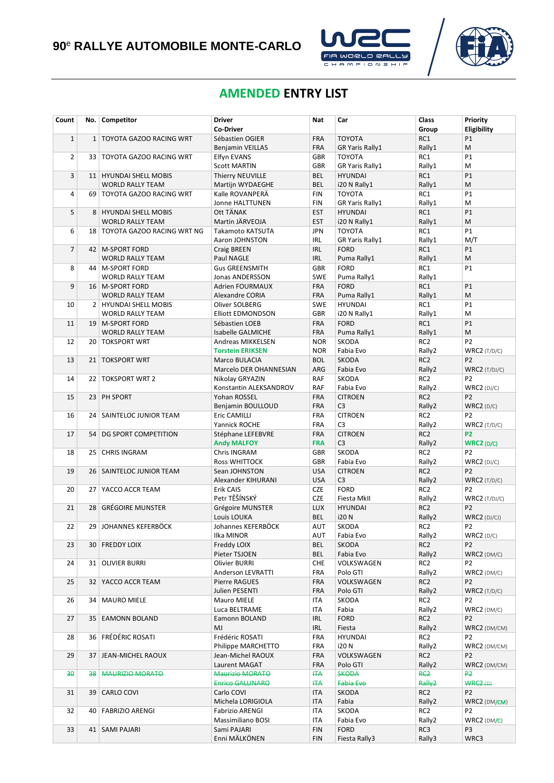



# **AMENDED ENTRY LIST**

| Count          | No.             | Competitor                      | <b>Driver</b><br><b>Co-Driver</b> | Nat                      | Car                    | Class<br>Group              | <b>Priority</b><br>Eligibility |
|----------------|-----------------|---------------------------------|-----------------------------------|--------------------------|------------------------|-----------------------------|--------------------------------|
| $\mathbf 1$    | $\mathbf{1}$    | <b>TOYOTA GAZOO RACING WRT</b>  | Sébastien OGIER                   | <b>FRA</b>               | <b>TOYOTA</b>          | RC1                         | P1                             |
|                |                 |                                 | Benjamin VEILLAS                  | <b>FRA</b>               | <b>GR Yaris Rally1</b> | Rally1                      | M                              |
| $\overline{2}$ | 33 <sup>1</sup> | TOYOTA GAZOO RACING WRT         | Elfyn EVANS                       | <b>GBR</b>               | <b>TOYOTA</b>          | RC1                         | P1                             |
|                |                 |                                 | <b>Scott MARTIN</b>               | <b>GBR</b>               | <b>GR Yaris Rally1</b> | Rally1                      | M                              |
| 3              |                 | 11   HYUNDAI SHELL MOBIS        | <b>Thierry NEUVILLE</b>           | <b>BEL</b>               | <b>HYUNDAI</b>         | RC1                         | <b>P1</b>                      |
|                |                 | <b>WORLD RALLY TEAM</b>         | Martijn WYDAEGHE                  | <b>BEL</b>               | i20 N Rally1           | Rally1                      | M                              |
| 4              |                 |                                 | Kalle ROVANPERA                   | <b>FIN</b>               | <b>TOYOTA</b>          | RC1                         | <b>P1</b>                      |
|                |                 | 69   TOYOTA GAZOO RACING WRT    |                                   | <b>FIN</b>               |                        | Rally1                      | M                              |
|                |                 | 8 HYUNDAI SHELL MOBIS           | Jonne HALTTUNEN                   |                          | GR Yaris Rally1        |                             | P1                             |
| 5              |                 | <b>WORLD RALLY TEAM</b>         | Ott TÄNAK<br>Martin JÄRVEOJA      | <b>EST</b><br><b>EST</b> | <b>HYUNDAI</b>         | RC1                         | M                              |
|                |                 |                                 |                                   |                          | i20 N Rally1           | Rally1                      |                                |
| 6              |                 | 18   TOYOTA GAZOO RACING WRT NG | Takamoto KATSUTA                  | JPN                      | <b>TOYOTA</b>          | RC1                         | P1                             |
|                |                 |                                 | Aaron JOHNSTON                    | <b>IRL</b>               | <b>GR Yaris Rally1</b> | Rally1                      | M/T                            |
| 7              |                 | 42   M-SPORT FORD               | Craig BREEN                       | <b>IRL</b>               | <b>FORD</b>            | RC1                         | P1                             |
|                |                 | <b>WORLD RALLY TEAM</b>         | Paul NAGLE                        | <b>IRL</b>               | Puma Rally1            | Rally1                      | M                              |
| 8              |                 | 44   M-SPORT FORD               | <b>Gus GREENSMITH</b>             | <b>GBR</b>               | <b>FORD</b>            | RC1                         | <b>P1</b>                      |
|                |                 | <b>WORLD RALLY TEAM</b>         | Jonas ANDERSSON                   | <b>SWE</b>               | Puma Rally1            | Rally1                      |                                |
| 9              |                 | 16   M-SPORT FORD               | <b>Adrien FOURMAUX</b>            | <b>FRA</b>               | <b>FORD</b>            | RC1                         | P1                             |
|                |                 | <b>WORLD RALLY TEAM</b>         | Alexandre CORIA                   | <b>FRA</b>               | Puma Rally1            | Rally1                      | M                              |
| 10             |                 | 2 HYUNDAI SHELL MOBIS           | Oliver SOLBERG                    | <b>SWE</b>               | <b>HYUNDAI</b>         | RC1                         | <b>P1</b>                      |
|                |                 | <b>WORLD RALLY TEAM</b>         | <b>Elliott EDMONDSON</b>          | <b>GBR</b>               | i20 N Rally1           | Rally1                      | M                              |
| 11             |                 | 19   M-SPORT FORD               | Sébastien LOEB                    | <b>FRA</b>               | <b>FORD</b>            | RC1                         | <b>P1</b>                      |
|                |                 | <b>WORLD RALLY TEAM</b>         | Isabelle GALMICHE                 | <b>FRA</b>               | Puma Rally1            | Rally1                      | M                              |
| 12             |                 | 20   TOKSPORT WRT               | Andreas MIKKELSEN                 | <b>NOR</b>               | SKODA                  | RC <sub>2</sub>             | P <sub>2</sub>                 |
|                |                 |                                 | <b>Torstein ERIKSEN</b>           | <b>NOR</b>               | Fabia Evo              | Rally2                      | $WRC2$ (T/D/C)                 |
| 13             |                 | 21   TOKSPORT WRT               | Marco BULACIA                     | <b>BOL</b>               | <b>SKODA</b>           | RC <sub>2</sub>             | P <sub>2</sub>                 |
|                |                 |                                 | Marcelo DER OHANNESIAN            | ARG                      | Fabia Evo              | Rally2                      | $WRC2$ (T/DJ/C)                |
| 14             | 22              | <b>TOKSPORT WRT 2</b>           | Nikolay GRYAZIN                   | RAF                      | <b>SKODA</b>           | RC <sub>2</sub>             | P <sub>2</sub>                 |
|                |                 |                                 | Konstantin ALEKSANDROV            | RAF                      | Fabia Evo              | Rally2                      | WRC2(DJ/C)                     |
| 15             | 23              | PH SPORT                        | Yohan ROSSEL                      | <b>FRA</b>               | <b>CITROEN</b>         | RC <sub>2</sub>             | P <sub>2</sub>                 |
|                |                 |                                 | Benjamin BOULLOUD                 | <b>FRA</b>               | C <sub>3</sub>         | Rally2                      | WRC2(D/C)                      |
| 16             |                 | 24   SAINTELOC JUNIOR TEAM      | Eric CAMILLI                      | <b>FRA</b>               | <b>CITROEN</b>         | RC <sub>2</sub>             | P <sub>2</sub>                 |
|                |                 |                                 | Yannick ROCHE                     | <b>FRA</b>               | C <sub>3</sub>         | Rally2                      | $WRC2$ (T/D/C)                 |
| 17             | 54              | DG SPORT COMPETITION            | Stéphane LEFEBVRE                 | <b>FRA</b>               | <b>CITROEN</b>         | RC <sub>2</sub>             | P <sub>2</sub>                 |
|                |                 |                                 | <b>Andy MALFOY</b>                | <b>FRA</b>               | C <sub>3</sub>         | Rally2                      | WRC2 (D/C)                     |
| 18             | 25              | <b>CHRIS INGRAM</b>             | Chris INGRAM                      | GBR                      | SKODA                  | RC <sub>2</sub>             | P <sub>2</sub>                 |
|                |                 |                                 | <b>Ross WHITTOCK</b>              | <b>GBR</b>               | Fabia Evo              | Rally2                      | $WRC2$ (DJ/C)                  |
| 19             |                 | 26   SAINTELOC JUNIOR TEAM      | Sean JOHNSTON                     | <b>USA</b>               | <b>CITROEN</b>         | RC <sub>2</sub>             | P <sub>2</sub>                 |
|                |                 |                                 | Alexander KIHURANI                | <b>USA</b>               | C <sub>3</sub>         | Rally2                      | $WRC2$ (T/D/C)                 |
| 20             | 27              | YACCO ACCR TEAM                 | Erik CAIS                         | <b>CZE</b>               | <b>FORD</b>            | RC <sub>2</sub>             | P <sub>2</sub>                 |
|                |                 |                                 | Petr TĚŠÍNSKÝ                     | <b>CZE</b>               | Fiesta MkII            | Rally2                      | $WRC2$ (T/DJ/C)                |
| 21             | 28              | <b>GRÉGOIRE MUNSTER</b>         | Grégoire MUNSTER                  | <b>LUX</b>               | <b>HYUNDAI</b>         | RC <sub>2</sub>             | P <sub>2</sub>                 |
|                |                 |                                 | Louis LOUKA                       | <b>BEL</b>               | <b>i20N</b>            | Rally2                      | $WRC2$ (DJ/CJ)                 |
| 22             |                 | 29 JOHANNES KEFERBÖCK           | Johannes KEFERBÖCK                | AUT                      | SKODA                  | RC <sub>2</sub>             | P <sub>2</sub>                 |
|                |                 |                                 | Ilka MINOR                        | AUT                      | Fabia Evo              | Rally2                      | WRC2(D/C)                      |
| 23             | 30 <sup>1</sup> | <b>FREDDY LOIX</b>              | Freddy LOIX                       | BEL                      | SKODA                  | RC <sub>2</sub>             | P <sub>2</sub>                 |
|                |                 |                                 | Pieter TSJOEN                     | BEL                      | Fabia Evo              | Rally2                      | $WRC2$ (DM/C)                  |
| 24             |                 | 31   OLIVIER BURRI              | Olivier BURRI                     | <b>CHE</b>               | VOLKSWAGEN             | RC <sub>2</sub>             | P <sub>2</sub>                 |
|                |                 |                                 | <b>Anderson LEVRATTI</b>          | <b>FRA</b>               | Polo GTI               | Rally2                      | WRC2 (DM/C)                    |
| 25             |                 | 32 YACCO ACCR TEAM              | Pierre RAGUES                     | <b>FRA</b>               | VOLKSWAGEN             | RC <sub>2</sub>             | P <sub>2</sub>                 |
|                |                 |                                 | Julien PESENTI                    | <b>FRA</b>               | Polo GTI               | Rally2                      | $WRC2$ (T/D/C)                 |
| 26             |                 | 34   MAURO MIELE                | Mauro MIELE                       | ITA                      | SKODA                  | RC <sub>2</sub>             | P <sub>2</sub>                 |
|                |                 |                                 | Luca BELTRAME                     | ITA                      | Fabia                  | Rally2                      | $WRC2$ (DM/C)                  |
| 27             | 35 <sup>2</sup> | <b>EAMONN BOLAND</b>            | Eamonn BOLAND                     | <b>IRL</b>               | <b>FORD</b>            | RC <sub>2</sub>             | P <sub>2</sub>                 |
|                |                 |                                 | MJ                                | <b>IRL</b>               | Fiesta                 | Rally2                      | WRC2 (DM/CM)                   |
| 28             |                 | 36   FRÉDÉRIC ROSATI            | Frédéric ROSATI                   | FRA                      | <b>HYUNDAI</b>         | RC <sub>2</sub>             | P <sub>2</sub>                 |
|                |                 |                                 | Philippe MARCHETTO                | <b>FRA</b>               | <b>i20N</b>            | Rally2                      | WRC2 (DM/CM)                   |
| 29             | 37              | JEAN-MICHEL RAOUX               | Jean-Michel RAOUX                 | <b>FRA</b>               | VOLKSWAGEN             | RC <sub>2</sub>             | P <sub>2</sub>                 |
|                |                 |                                 | Laurent MAGAT                     | <b>FRA</b>               | Polo GTI               | Rally2                      | WRC2 (DM/CM)                   |
| 30             | 38              | <b>MAURIZIO MORATO</b>          | Maurizio MORATO                   | <b>ITA</b>               | <b>SKODA</b>           | R <sub>C</sub> <sub>2</sub> | <b>P2</b>                      |
|                |                 |                                 | Enrico GALLINARO                  | <b>HTA</b>               | Fabia Eve              | Rally <sub>2</sub>          | WRC2(D)                        |
| 31             |                 | 39 CARLO COVI                   | Carlo COVI                        | ITA                      | SKODA                  | RC <sub>2</sub>             | P <sub>2</sub>                 |
|                |                 |                                 | Michela LORIGIOLA                 | ITA                      | Fabia                  | Rally2                      | WRC2 (DM/CM)                   |
| 32             | 40 I            | <b>FABRIZIO ARENGI</b>          | <b>Fabrizio ARENGI</b>            | ITA                      | SKODA                  | RC <sub>2</sub>             | P <sub>2</sub>                 |
|                |                 |                                 | Massimiliano BOSI                 | ITA                      | Fabia Evo              | Rally2                      | $WRC2$ (DM/C)                  |
| 33             | 41              | <b>SAMI PAJARI</b>              | Sami PAJARI                       | <b>FIN</b>               | <b>FORD</b>            | RC3                         | P <sub>3</sub>                 |
|                |                 |                                 | Enni MÄLKÖNEN                     | FIN                      | Fiesta Rally3          | Rally3                      | WRC3                           |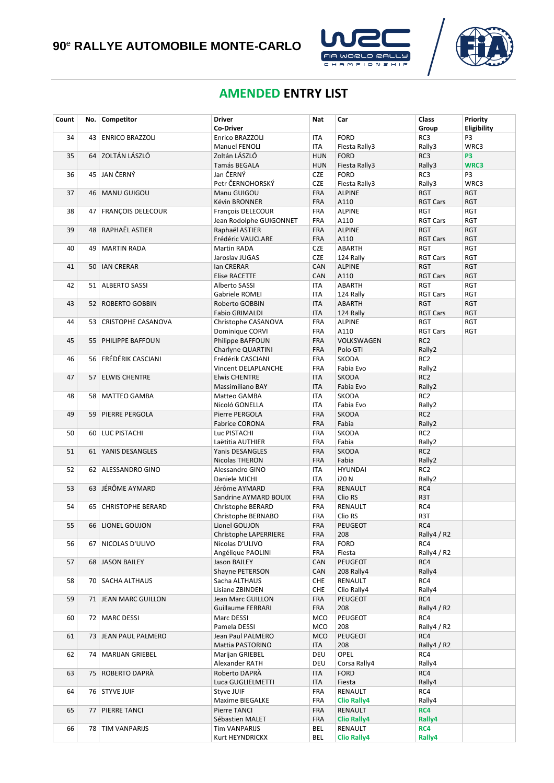



## **AMENDED ENTRY LIST**

| Count | No.             | Competitor             | <b>Driver</b>                             | Nat                      | Car                       | Class                         | Priority                 |
|-------|-----------------|------------------------|-------------------------------------------|--------------------------|---------------------------|-------------------------------|--------------------------|
|       |                 |                        | <b>Co-Driver</b>                          |                          |                           | Group                         | Eligibility              |
| 34    | 43              | <b>ENRICO BRAZZOLI</b> | Enrico BRAZZOLI                           | ITA                      | <b>FORD</b>               | RC3                           | P3                       |
|       |                 |                        | Manuel FENOLI                             | ITA                      | Fiesta Rally3             | Rally3                        | WRC3                     |
| 35    |                 | 64 ZOLTÁN LÁSZLÓ       | Zoltán LÁSZLÓ                             | <b>HUN</b>               | <b>FORD</b>               | RC3                           | P <sub>3</sub>           |
|       |                 |                        | Tamás BEGALA                              | <b>HUN</b>               | Fiesta Rally3             | Rally3                        | WRC3                     |
| 36    |                 | 45 JAN ČERNÝ           | Jan ČERNÝ                                 | <b>CZE</b>               | <b>FORD</b>               | RC3                           | P3                       |
|       |                 |                        | Petr ČERNOHORSKÝ                          | <b>CZE</b>               | Fiesta Rally3             | Rally3                        | WRC3                     |
| 37    |                 | 46   MANU GUIGOU       | Manu GUIGOU                               | <b>FRA</b>               | <b>ALPINE</b>             | <b>RGT</b>                    | <b>RGT</b>               |
|       |                 |                        | Kévin BRONNER                             | <b>FRA</b>               | A110                      | <b>RGT Cars</b>               | <b>RGT</b>               |
| 38    |                 | 47   FRANÇOIS DELECOUR | François DELECOUR                         | <b>FRA</b>               | <b>ALPINE</b>             | <b>RGT</b>                    | <b>RGT</b>               |
| 39    |                 | 48 RAPHAËL ASTIER      | Jean Rodolphe GUIGONNET<br>Raphaël ASTIER | <b>FRA</b><br><b>FRA</b> | A110<br><b>ALPINE</b>     | <b>RGT Cars</b><br><b>RGT</b> | <b>RGT</b><br><b>RGT</b> |
|       |                 |                        | Frédéric VAUCLARE                         | <b>FRA</b>               | A110                      | <b>RGT Cars</b>               | <b>RGT</b>               |
| 40    | 49              | <b>MARTIN RADA</b>     | Martin RADA                               | <b>CZE</b>               | ABARTH                    | <b>RGT</b>                    | <b>RGT</b>               |
|       |                 |                        | Jaroslav JUGAS                            | <b>CZE</b>               | 124 Rally                 | <b>RGT Cars</b>               | <b>RGT</b>               |
| 41    |                 | 50   IAN CRERAR        | lan CRERAR                                | CAN                      | <b>ALPINE</b>             | <b>RGT</b>                    | <b>RGT</b>               |
|       |                 |                        | <b>Elise RACETTE</b>                      | CAN                      | A110                      | <b>RGT Cars</b>               | <b>RGT</b>               |
| 42    |                 | 51   ALBERTO SASSI     | Alberto SASSI                             | ITA                      | ABARTH                    | <b>RGT</b>                    | <b>RGT</b>               |
|       |                 |                        | Gabriele ROMEI                            | <b>ITA</b>               | 124 Rally                 | <b>RGT Cars</b>               | <b>RGT</b>               |
| 43    |                 | 52 ROBERTO GOBBIN      | Roberto GOBBIN                            | <b>ITA</b>               | ABARTH                    | <b>RGT</b>                    | <b>RGT</b>               |
|       |                 |                        | <b>Fabio GRIMALDI</b>                     | <b>ITA</b>               | 124 Rally                 | <b>RGT Cars</b>               | <b>RGT</b>               |
| 44    |                 | 53 CRISTOPHE CASANOVA  | Christophe CASANOVA                       | <b>FRA</b>               | <b>ALPINE</b>             | <b>RGT</b>                    | <b>RGT</b>               |
|       |                 |                        | Dominique CORVI                           | <b>FRA</b>               | A110                      | <b>RGT Cars</b>               | RGT                      |
| 45    |                 | 55   PHILIPPE BAFFOUN  | Philippe BAFFOUN                          | <b>FRA</b>               | VOLKSWAGEN                | RC <sub>2</sub>               |                          |
|       |                 |                        | Charlyne QUARTINI                         | <b>FRA</b>               | Polo GTI                  | Rally2                        |                          |
| 46    |                 | 56   FRÉDÉRIK CASCIANI | Frédérik CASCIANI                         | FRA                      | SKODA                     | RC <sub>2</sub>               |                          |
|       |                 | 57 ELWIS CHENTRE       | Vincent DELAPLANCHE                       | <b>FRA</b>               | Fabia Evo                 | Rally2                        |                          |
| 47    |                 |                        | <b>Elwis CHENTRE</b><br>Massimiliano BAY  | <b>ITA</b><br><b>ITA</b> | <b>SKODA</b><br>Fabia Evo | RC <sub>2</sub><br>Rally2     |                          |
| 48    |                 | 58   MATTEO GAMBA      | Matteo GAMBA                              | <b>ITA</b>               | <b>SKODA</b>              | RC <sub>2</sub>               |                          |
|       |                 |                        | Nicoló GONELLA                            | <b>ITA</b>               | Fabia Evo                 | Rally2                        |                          |
| 49    | 59              | PIERRE PERGOLA         | Pierre PERGOLA                            | <b>FRA</b>               | <b>SKODA</b>              | RC <sub>2</sub>               |                          |
|       |                 |                        | Fabrice CORONA                            | <b>FRA</b>               | Fabia                     | Rally2                        |                          |
| 50    |                 | 60   LUC PISTACHI      | Luc PISTACHI                              | <b>FRA</b>               | SKODA                     | RC <sub>2</sub>               |                          |
|       |                 |                        | Laëtitia AUTHIER                          | <b>FRA</b>               | Fabia                     | Rally2                        |                          |
| 51    |                 | 61   YANIS DESANGLES   | <b>Yanis DESANGLES</b>                    | <b>FRA</b>               | <b>SKODA</b>              | RC <sub>2</sub>               |                          |
|       |                 |                        | Nicolas THERON                            | <b>FRA</b>               | Fabia                     | Rally2                        |                          |
| 52    | 62 <sub>1</sub> | ALESSANDRO GINO        | Alessandro GINO                           | ITA                      | <b>HYUNDAI</b>            | RC <sub>2</sub>               |                          |
|       |                 |                        | Daniele MICHI                             | <b>ITA</b>               | <b>i20N</b>               | Rally2                        |                          |
| 53    |                 | 63 JÉRÔME AYMARD       | Jérôme AYMARD                             | <b>FRA</b>               | <b>RENAULT</b>            | RC4                           |                          |
|       |                 |                        | Sandrine AYMARD BOUIX                     | <b>FRA</b>               | Clio RS                   | R3T                           |                          |
| 54    |                 | 65   CHRISTOPHE BERARD | Christophe BERARD<br>Christophe BERNABO   | <b>FRA</b><br><b>FRA</b> | RENAULT<br>Clio RS        | RC4<br>R3T                    |                          |
| 55    |                 | 66   LIONEL GOUJON     | Lionel GOUJON                             | <b>FRA</b>               | PEUGEOT                   | RC4                           |                          |
|       |                 |                        | Christophe LAPERRIERE                     | <b>FRA</b>               | 208                       | Rally4 / R2                   |                          |
| 56    |                 | 67 NICOLAS D'ULIVO     | Nicolas D'ULIVO                           | FRA                      | <b>FORD</b>               | RC4                           |                          |
|       |                 |                        | Angélique PAOLINI                         | <b>FRA</b>               | Fiesta                    | Rally4 / R2                   |                          |
| 57    |                 | 68 JASON BAILEY        | Jason BAILEY                              | <b>CAN</b>               | PEUGEOT                   | RC4                           |                          |
|       |                 |                        | Shayne PETERSON                           | CAN                      | 208 Rally4                | Rally4                        |                          |
| 58    |                 | 70   SACHA ALTHAUS     | Sacha ALTHAUS                             | <b>CHE</b>               | RENAULT                   | RC4                           |                          |
|       |                 |                        | Lisiane ZBINDEN                           | <b>CHE</b>               | Clio Rally4               | Rally4                        |                          |
| 59    |                 | 71   JEAN MARC GUILLON | Jean Marc GUILLON                         | <b>FRA</b>               | PEUGEOT                   | RC4                           |                          |
|       |                 |                        | Guillaume FERRARI                         | <b>FRA</b>               | 208                       | Rally4 / R2                   |                          |
| 60    |                 | 72   MARC DESSI        | Marc DESSI                                | <b>MCO</b>               | PEUGEOT                   | RC4                           |                          |
|       |                 |                        | Pamela DESSI                              | <b>MCO</b>               | 208                       | Rally4 / R2                   |                          |
| 61    |                 | 73   JEAN PAUL PALMERO | Jean Paul PALMERO                         | <b>MCO</b>               | PEUGEOT                   | RC4                           |                          |
|       |                 |                        | Mattia PASTORINO                          | ITA                      | 208<br>OPEL               | Rally4 / R2<br>RC4            |                          |
| 62    |                 | 74   MARIJAN GRIEBEL   | Marijan GRIEBEL<br>Alexander RATH         | DEU<br>DEU               | Corsa Rally4              | Rally4                        |                          |
| 63    | 75              | ROBERTO DAPRÀ          | Roberto DAPRÀ                             | ITA                      | <b>FORD</b>               | RC4                           |                          |
|       |                 |                        | Luca GUGLIELMETTI                         | ITA                      | Fiesta                    | Rally4                        |                          |
| 64    |                 | 76   STYVE JUIF        | Styve JUIF                                | <b>FRA</b>               | RENAULT                   | RC4                           |                          |
|       |                 |                        | Maxime BIEGALKE                           | FRA                      | <b>Clio Rally4</b>        | Rally4                        |                          |
| 65    | 77              | PIERRE TANCI           | Pierre TANCI                              | <b>FRA</b>               | RENAULT                   | RC4                           |                          |
|       |                 |                        | Sébastien MALET                           | FRA                      | <b>Clio Rally4</b>        | Rally4                        |                          |
| 66    |                 | 78   TIM VANPARIJS     | Tim VANPARIJS                             | BEL                      | RENAULT                   | RC4                           |                          |
|       |                 |                        | Kurt HEYNDRICKX                           | BEL                      | <b>Clio Rally4</b>        | Rally4                        |                          |